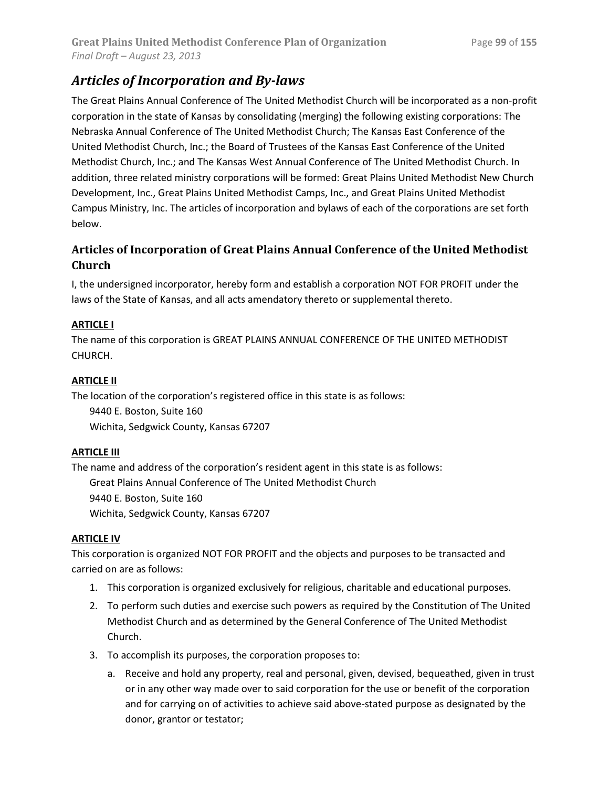# *Articles of Incorporation and By-laws*

The Great Plains Annual Conference of The United Methodist Church will be incorporated as a non-profit corporation in the state of Kansas by consolidating (merging) the following existing corporations: The Nebraska Annual Conference of The United Methodist Church; The Kansas East Conference of the United Methodist Church, Inc.; the Board of Trustees of the Kansas East Conference of the United Methodist Church, Inc.; and The Kansas West Annual Conference of The United Methodist Church. In addition, three related ministry corporations will be formed: Great Plains United Methodist New Church Development, Inc., Great Plains United Methodist Camps, Inc., and Great Plains United Methodist Campus Ministry, Inc. The articles of incorporation and bylaws of each of the corporations are set forth below.

## **Articles of Incorporation of Great Plains Annual Conference of the United Methodist Church**

I, the undersigned incorporator, hereby form and establish a corporation NOT FOR PROFIT under the laws of the State of Kansas, and all acts amendatory thereto or supplemental thereto.

## **ARTICLE I**

The name of this corporation is GREAT PLAINS ANNUAL CONFERENCE OF THE UNITED METHODIST CHURCH.

## **ARTICLE II**

The location of the corporation's registered office in this state is as follows:

9440 E. Boston, Suite 160 Wichita, Sedgwick County, Kansas 67207

## **ARTICLE III**

The name and address of the corporation's resident agent in this state is as follows: Great Plains Annual Conference of The United Methodist Church 9440 E. Boston, Suite 160 Wichita, Sedgwick County, Kansas 67207

## **ARTICLE IV**

This corporation is organized NOT FOR PROFIT and the objects and purposes to be transacted and carried on are as follows:

- 1. This corporation is organized exclusively for religious, charitable and educational purposes.
- 2. To perform such duties and exercise such powers as required by the Constitution of The United Methodist Church and as determined by the General Conference of The United Methodist Church.
- 3. To accomplish its purposes, the corporation proposes to:
	- a. Receive and hold any property, real and personal, given, devised, bequeathed, given in trust or in any other way made over to said corporation for the use or benefit of the corporation and for carrying on of activities to achieve said above-stated purpose as designated by the donor, grantor or testator;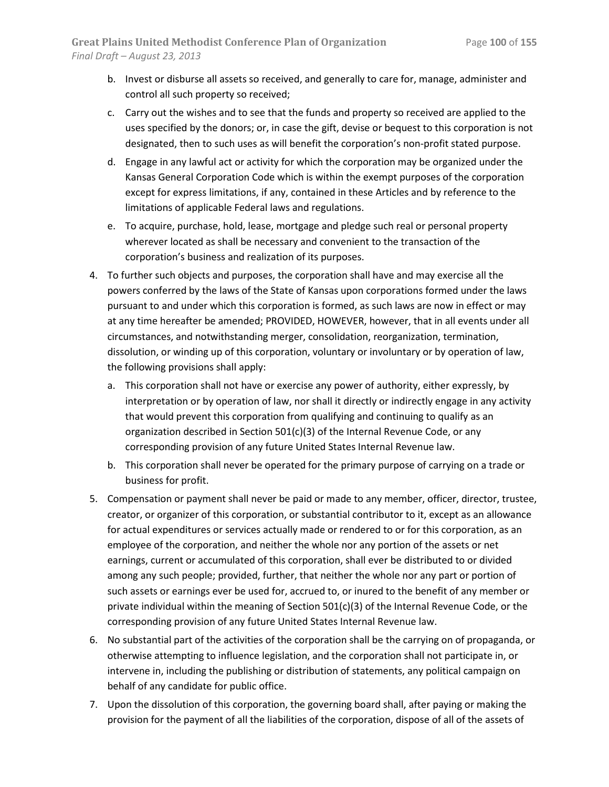- b. Invest or disburse all assets so received, and generally to care for, manage, administer and control all such property so received;
- c. Carry out the wishes and to see that the funds and property so received are applied to the uses specified by the donors; or, in case the gift, devise or bequest to this corporation is not designated, then to such uses as will benefit the corporation's non-profit stated purpose.
- d. Engage in any lawful act or activity for which the corporation may be organized under the Kansas General Corporation Code which is within the exempt purposes of the corporation except for express limitations, if any, contained in these Articles and by reference to the limitations of applicable Federal laws and regulations.
- e. To acquire, purchase, hold, lease, mortgage and pledge such real or personal property wherever located as shall be necessary and convenient to the transaction of the corporation's business and realization of its purposes.
- 4. To further such objects and purposes, the corporation shall have and may exercise all the powers conferred by the laws of the State of Kansas upon corporations formed under the laws pursuant to and under which this corporation is formed, as such laws are now in effect or may at any time hereafter be amended; PROVIDED, HOWEVER, however, that in all events under all circumstances, and notwithstanding merger, consolidation, reorganization, termination, dissolution, or winding up of this corporation, voluntary or involuntary or by operation of law, the following provisions shall apply:
	- a. This corporation shall not have or exercise any power of authority, either expressly, by interpretation or by operation of law, nor shall it directly or indirectly engage in any activity that would prevent this corporation from qualifying and continuing to qualify as an organization described in Section 501(c)(3) of the Internal Revenue Code, or any corresponding provision of any future United States Internal Revenue law.
	- b. This corporation shall never be operated for the primary purpose of carrying on a trade or business for profit.
- 5. Compensation or payment shall never be paid or made to any member, officer, director, trustee, creator, or organizer of this corporation, or substantial contributor to it, except as an allowance for actual expenditures or services actually made or rendered to or for this corporation, as an employee of the corporation, and neither the whole nor any portion of the assets or net earnings, current or accumulated of this corporation, shall ever be distributed to or divided among any such people; provided, further, that neither the whole nor any part or portion of such assets or earnings ever be used for, accrued to, or inured to the benefit of any member or private individual within the meaning of Section 501(c)(3) of the Internal Revenue Code, or the corresponding provision of any future United States Internal Revenue law.
- 6. No substantial part of the activities of the corporation shall be the carrying on of propaganda, or otherwise attempting to influence legislation, and the corporation shall not participate in, or intervene in, including the publishing or distribution of statements, any political campaign on behalf of any candidate for public office.
- 7. Upon the dissolution of this corporation, the governing board shall, after paying or making the provision for the payment of all the liabilities of the corporation, dispose of all of the assets of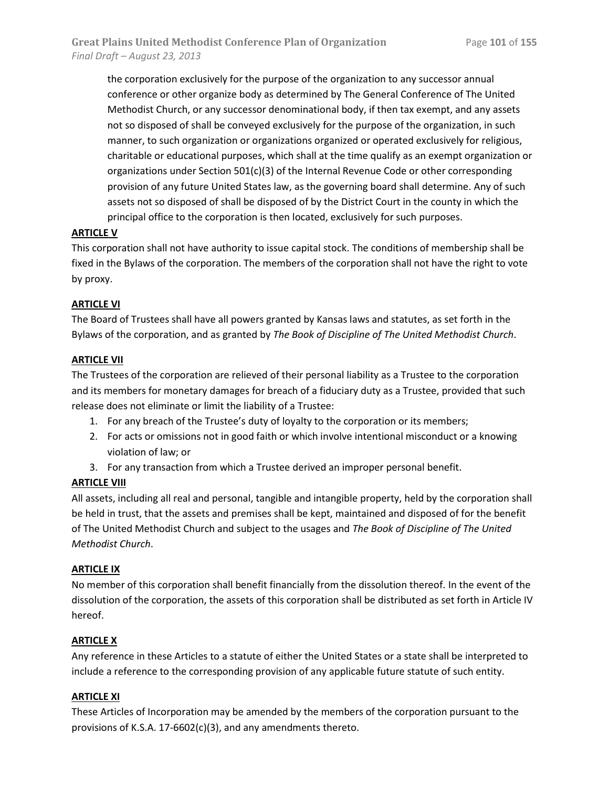the corporation exclusively for the purpose of the organization to any successor annual conference or other organize body as determined by The General Conference of The United Methodist Church, or any successor denominational body, if then tax exempt, and any assets not so disposed of shall be conveyed exclusively for the purpose of the organization, in such manner, to such organization or organizations organized or operated exclusively for religious, charitable or educational purposes, which shall at the time qualify as an exempt organization or organizations under Section  $501(c)(3)$  of the Internal Revenue Code or other corresponding provision of any future United States law, as the governing board shall determine. Any of such assets not so disposed of shall be disposed of by the District Court in the county in which the principal office to the corporation is then located, exclusively for such purposes.

## **ARTICLE V**

This corporation shall not have authority to issue capital stock. The conditions of membership shall be fixed in the Bylaws of the corporation. The members of the corporation shall not have the right to vote by proxy.

## **ARTICLE VI**

The Board of Trustees shall have all powers granted by Kansas laws and statutes, as set forth in the Bylaws of the corporation, and as granted by *The Book of Discipline of The United Methodist Church*.

## **ARTICLE VII**

The Trustees of the corporation are relieved of their personal liability as a Trustee to the corporation and its members for monetary damages for breach of a fiduciary duty as a Trustee, provided that such release does not eliminate or limit the liability of a Trustee:

- 1. For any breach of the Trustee's duty of loyalty to the corporation or its members;
- 2. For acts or omissions not in good faith or which involve intentional misconduct or a knowing violation of law; or
- 3. For any transaction from which a Trustee derived an improper personal benefit.

## **ARTICLE VIII**

All assets, including all real and personal, tangible and intangible property, held by the corporation shall be held in trust, that the assets and premises shall be kept, maintained and disposed of for the benefit of The United Methodist Church and subject to the usages and *The Book of Discipline of The United Methodist Church*.

## **ARTICLE IX**

No member of this corporation shall benefit financially from the dissolution thereof. In the event of the dissolution of the corporation, the assets of this corporation shall be distributed as set forth in Article IV hereof.

## **ARTICLE X**

Any reference in these Articles to a statute of either the United States or a state shall be interpreted to include a reference to the corresponding provision of any applicable future statute of such entity.

## **ARTICLE XI**

These Articles of Incorporation may be amended by the members of the corporation pursuant to the provisions of K.S.A. 17-6602(c)(3), and any amendments thereto.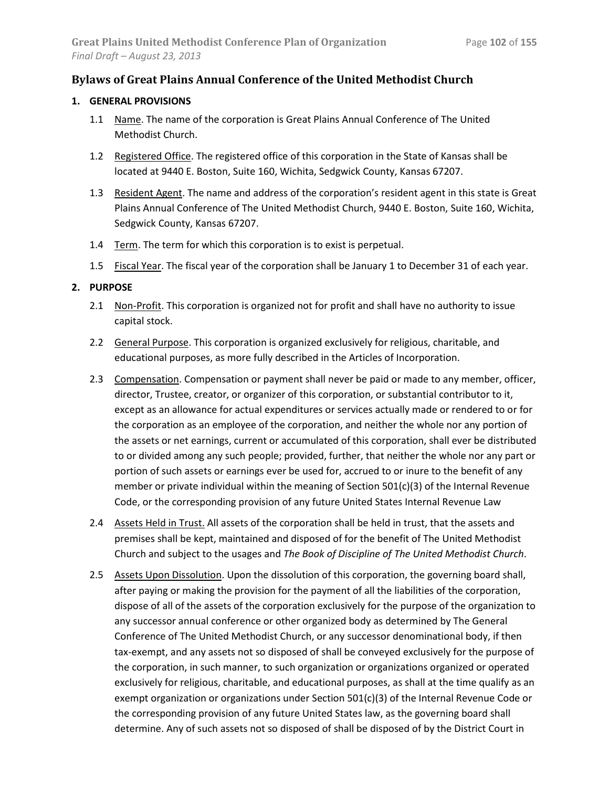## **Bylaws of Great Plains Annual Conference of the United Methodist Church**

## **1. GENERAL PROVISIONS**

- 1.1 Name. The name of the corporation is Great Plains Annual Conference of The United Methodist Church.
- 1.2 Registered Office. The registered office of this corporation in the State of Kansas shall be located at 9440 E. Boston, Suite 160, Wichita, Sedgwick County, Kansas 67207.
- 1.3 Resident Agent. The name and address of the corporation's resident agent in this state is Great Plains Annual Conference of The United Methodist Church, 9440 E. Boston, Suite 160, Wichita, Sedgwick County, Kansas 67207.
- 1.4 Term. The term for which this corporation is to exist is perpetual.
- 1.5 Fiscal Year. The fiscal year of the corporation shall be January 1 to December 31 of each year.

## **2. PURPOSE**

- 2.1 Non-Profit. This corporation is organized not for profit and shall have no authority to issue capital stock.
- 2.2 General Purpose. This corporation is organized exclusively for religious, charitable, and educational purposes, as more fully described in the Articles of Incorporation.
- 2.3 Compensation. Compensation or payment shall never be paid or made to any member, officer, director, Trustee, creator, or organizer of this corporation, or substantial contributor to it, except as an allowance for actual expenditures or services actually made or rendered to or for the corporation as an employee of the corporation, and neither the whole nor any portion of the assets or net earnings, current or accumulated of this corporation, shall ever be distributed to or divided among any such people; provided, further, that neither the whole nor any part or portion of such assets or earnings ever be used for, accrued to or inure to the benefit of any member or private individual within the meaning of Section 501(c)(3) of the Internal Revenue Code, or the corresponding provision of any future United States Internal Revenue Law
- 2.4 Assets Held in Trust. All assets of the corporation shall be held in trust, that the assets and premises shall be kept, maintained and disposed of for the benefit of The United Methodist Church and subject to the usages and *The Book of Discipline of The United Methodist Church*.
- 2.5 Assets Upon Dissolution. Upon the dissolution of this corporation, the governing board shall, after paying or making the provision for the payment of all the liabilities of the corporation, dispose of all of the assets of the corporation exclusively for the purpose of the organization to any successor annual conference or other organized body as determined by The General Conference of The United Methodist Church, or any successor denominational body, if then tax-exempt, and any assets not so disposed of shall be conveyed exclusively for the purpose of the corporation, in such manner, to such organization or organizations organized or operated exclusively for religious, charitable, and educational purposes, as shall at the time qualify as an exempt organization or organizations under Section 501(c)(3) of the Internal Revenue Code or the corresponding provision of any future United States law, as the governing board shall determine. Any of such assets not so disposed of shall be disposed of by the District Court in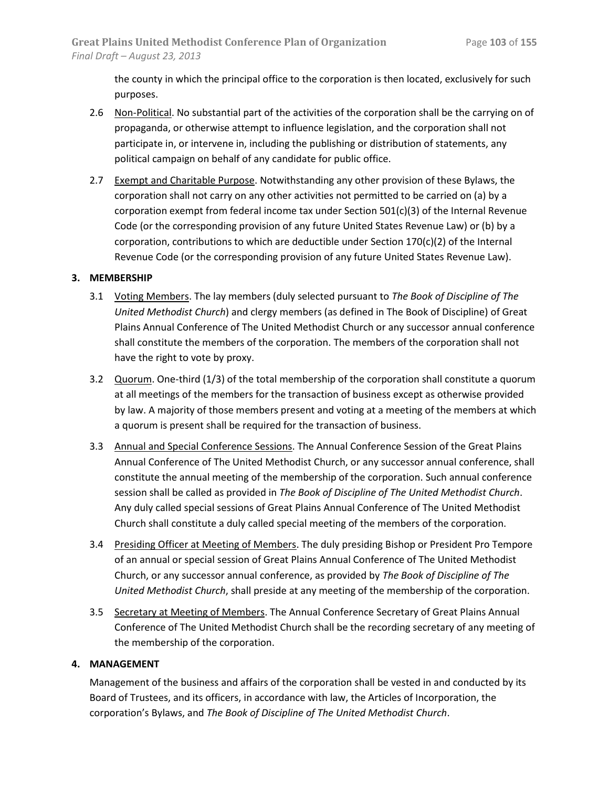the county in which the principal office to the corporation is then located, exclusively for such purposes.

- 2.6 Non-Political. No substantial part of the activities of the corporation shall be the carrying on of propaganda, or otherwise attempt to influence legislation, and the corporation shall not participate in, or intervene in, including the publishing or distribution of statements, any political campaign on behalf of any candidate for public office.
- 2.7 Exempt and Charitable Purpose. Notwithstanding any other provision of these Bylaws, the corporation shall not carry on any other activities not permitted to be carried on (a) by a corporation exempt from federal income tax under Section  $501(c)(3)$  of the Internal Revenue Code (or the corresponding provision of any future United States Revenue Law) or (b) by a corporation, contributions to which are deductible under Section  $170(c)(2)$  of the Internal Revenue Code (or the corresponding provision of any future United States Revenue Law).

## **3. MEMBERSHIP**

- 3.1 Voting Members. The lay members (duly selected pursuant to *The Book of Discipline of The United Methodist Church*) and clergy members (as defined in The Book of Discipline) of Great Plains Annual Conference of The United Methodist Church or any successor annual conference shall constitute the members of the corporation. The members of the corporation shall not have the right to vote by proxy.
- 3.2 Quorum. One-third (1/3) of the total membership of the corporation shall constitute a quorum at all meetings of the members for the transaction of business except as otherwise provided by law. A majority of those members present and voting at a meeting of the members at which a quorum is present shall be required for the transaction of business.
- 3.3 Annual and Special Conference Sessions. The Annual Conference Session of the Great Plains Annual Conference of The United Methodist Church, or any successor annual conference, shall constitute the annual meeting of the membership of the corporation. Such annual conference session shall be called as provided in *The Book of Discipline of The United Methodist Church*. Any duly called special sessions of Great Plains Annual Conference of The United Methodist Church shall constitute a duly called special meeting of the members of the corporation.
- 3.4 Presiding Officer at Meeting of Members. The duly presiding Bishop or President Pro Tempore of an annual or special session of Great Plains Annual Conference of The United Methodist Church, or any successor annual conference, as provided by *The Book of Discipline of The United Methodist Church*, shall preside at any meeting of the membership of the corporation.
- 3.5 Secretary at Meeting of Members. The Annual Conference Secretary of Great Plains Annual Conference of The United Methodist Church shall be the recording secretary of any meeting of the membership of the corporation.

## **4. MANAGEMENT**

Management of the business and affairs of the corporation shall be vested in and conducted by its Board of Trustees, and its officers, in accordance with law, the Articles of Incorporation, the corporation's Bylaws, and *The Book of Discipline of The United Methodist Church*.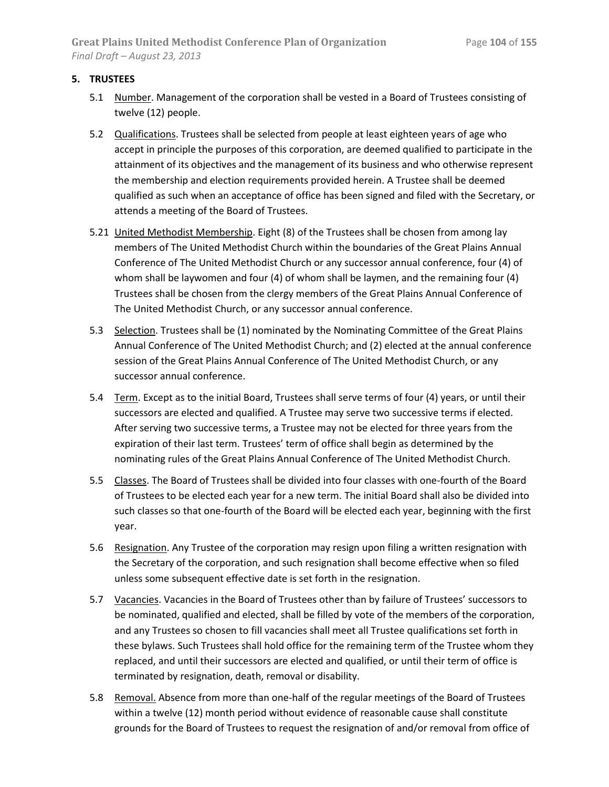## **5. TRUSTEES**

- 5.1 Number. Management of the corporation shall be vested in a Board of Trustees consisting of twelve (12) people.
- 5.2 Qualifications. Trustees shall be selected from people at least eighteen years of age who accept in principle the purposes of this corporation, are deemed qualified to participate in the attainment of its objectives and the management of its business and who otherwise represent the membership and election requirements provided herein. A Trustee shall be deemed qualified as such when an acceptance of office has been signed and filed with the Secretary, or attends a meeting of the Board of Trustees.
- 5.21 United Methodist Membership. Eight (8) of the Trustees shall be chosen from among lay members of The United Methodist Church within the boundaries of the Great Plains Annual Conference of The United Methodist Church or any successor annual conference, four (4) of whom shall be laywomen and four (4) of whom shall be laymen, and the remaining four (4) Trustees shall be chosen from the clergy members of the Great Plains Annual Conference of The United Methodist Church, or any successor annual conference.
- 5.3 Selection. Trustees shall be (1) nominated by the Nominating Committee of the Great Plains Annual Conference of The United Methodist Church; and (2) elected at the annual conference session of the Great Plains Annual Conference of The United Methodist Church, or any successor annual conference.
- 5.4 Term. Except as to the initial Board, Trustees shall serve terms of four (4) years, or until their successors are elected and qualified. A Trustee may serve two successive terms if elected. After serving two successive terms, a Trustee may not be elected for three years from the expiration of their last term. Trustees' term of office shall begin as determined by the nominating rules of the Great Plains Annual Conference of The United Methodist Church.
- 5.5 Classes. The Board of Trustees shall be divided into four classes with one-fourth of the Board of Trustees to be elected each year for a new term. The initial Board shall also be divided into such classes so that one-fourth of the Board will be elected each year, beginning with the first year.
- 5.6 Resignation. Any Trustee of the corporation may resign upon filing a written resignation with the Secretary of the corporation, and such resignation shall become effective when so filed unless some subsequent effective date is set forth in the resignation.
- 5.7 Vacancies. Vacancies in the Board of Trustees other than by failure of Trustees' successors to be nominated, qualified and elected, shall be filled by vote of the members of the corporation, and any Trustees so chosen to fill vacancies shall meet all Trustee qualifications set forth in these bylaws. Such Trustees shall hold office for the remaining term of the Trustee whom they replaced, and until their successors are elected and qualified, or until their term of office is terminated by resignation, death, removal or disability.
- 5.8 Removal. Absence from more than one-half of the regular meetings of the Board of Trustees within a twelve (12) month period without evidence of reasonable cause shall constitute grounds for the Board of Trustees to request the resignation of and/or removal from office of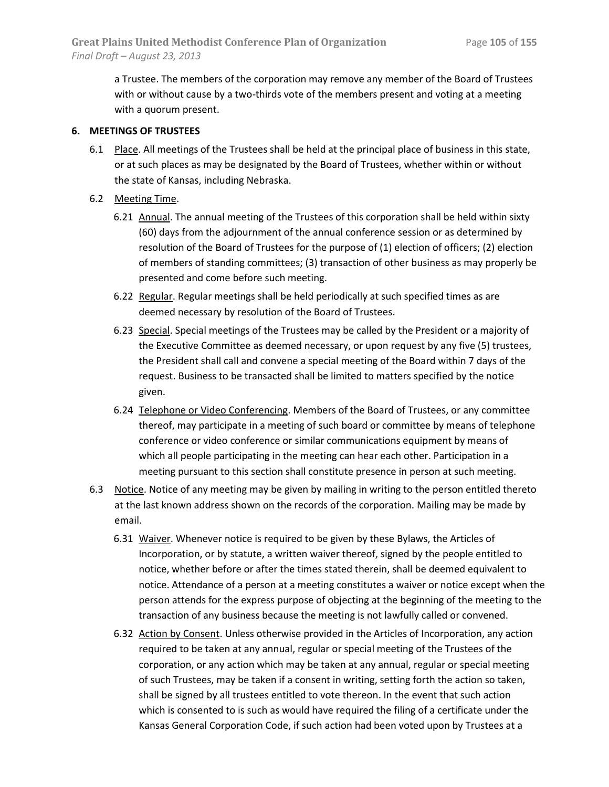a Trustee. The members of the corporation may remove any member of the Board of Trustees with or without cause by a two-thirds vote of the members present and voting at a meeting with a quorum present.

## **6. MEETINGS OF TRUSTEES**

- 6.1 Place. All meetings of the Trustees shall be held at the principal place of business in this state, or at such places as may be designated by the Board of Trustees, whether within or without the state of Kansas, including Nebraska.
- 6.2 Meeting Time.
	- 6.21 Annual. The annual meeting of the Trustees of this corporation shall be held within sixty (60) days from the adjournment of the annual conference session or as determined by resolution of the Board of Trustees for the purpose of (1) election of officers; (2) election of members of standing committees; (3) transaction of other business as may properly be presented and come before such meeting.
	- 6.22 Regular. Regular meetings shall be held periodically at such specified times as are deemed necessary by resolution of the Board of Trustees.
	- 6.23 Special. Special meetings of the Trustees may be called by the President or a majority of the Executive Committee as deemed necessary, or upon request by any five (5) trustees, the President shall call and convene a special meeting of the Board within 7 days of the request. Business to be transacted shall be limited to matters specified by the notice given.
	- 6.24 Telephone or Video Conferencing. Members of the Board of Trustees, or any committee thereof, may participate in a meeting of such board or committee by means of telephone conference or video conference or similar communications equipment by means of which all people participating in the meeting can hear each other. Participation in a meeting pursuant to this section shall constitute presence in person at such meeting.
- 6.3 Notice. Notice of any meeting may be given by mailing in writing to the person entitled thereto at the last known address shown on the records of the corporation. Mailing may be made by email.
	- 6.31 Waiver. Whenever notice is required to be given by these Bylaws, the Articles of Incorporation, or by statute, a written waiver thereof, signed by the people entitled to notice, whether before or after the times stated therein, shall be deemed equivalent to notice. Attendance of a person at a meeting constitutes a waiver or notice except when the person attends for the express purpose of objecting at the beginning of the meeting to the transaction of any business because the meeting is not lawfully called or convened.
	- 6.32 Action by Consent. Unless otherwise provided in the Articles of Incorporation, any action required to be taken at any annual, regular or special meeting of the Trustees of the corporation, or any action which may be taken at any annual, regular or special meeting of such Trustees, may be taken if a consent in writing, setting forth the action so taken, shall be signed by all trustees entitled to vote thereon. In the event that such action which is consented to is such as would have required the filing of a certificate under the Kansas General Corporation Code, if such action had been voted upon by Trustees at a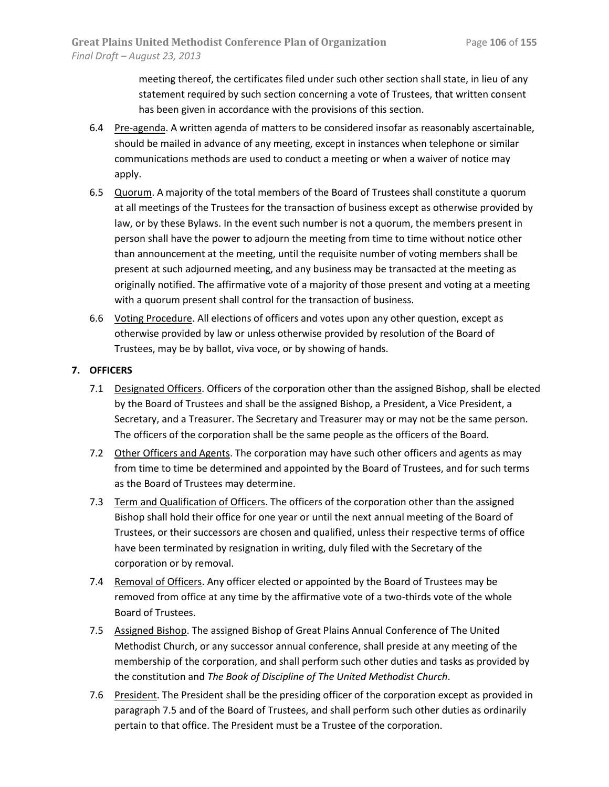meeting thereof, the certificates filed under such other section shall state, in lieu of any statement required by such section concerning a vote of Trustees, that written consent has been given in accordance with the provisions of this section.

- 6.4 Pre-agenda. A written agenda of matters to be considered insofar as reasonably ascertainable, should be mailed in advance of any meeting, except in instances when telephone or similar communications methods are used to conduct a meeting or when a waiver of notice may apply.
- 6.5 Quorum. A majority of the total members of the Board of Trustees shall constitute a quorum at all meetings of the Trustees for the transaction of business except as otherwise provided by law, or by these Bylaws. In the event such number is not a quorum, the members present in person shall have the power to adjourn the meeting from time to time without notice other than announcement at the meeting, until the requisite number of voting members shall be present at such adjourned meeting, and any business may be transacted at the meeting as originally notified. The affirmative vote of a majority of those present and voting at a meeting with a quorum present shall control for the transaction of business.
- 6.6 Voting Procedure. All elections of officers and votes upon any other question, except as otherwise provided by law or unless otherwise provided by resolution of the Board of Trustees, may be by ballot, viva voce, or by showing of hands.

## **7. OFFICERS**

- 7.1 Designated Officers. Officers of the corporation other than the assigned Bishop, shall be elected by the Board of Trustees and shall be the assigned Bishop, a President, a Vice President, a Secretary, and a Treasurer. The Secretary and Treasurer may or may not be the same person. The officers of the corporation shall be the same people as the officers of the Board.
- 7.2 Other Officers and Agents. The corporation may have such other officers and agents as may from time to time be determined and appointed by the Board of Trustees, and for such terms as the Board of Trustees may determine.
- 7.3 Term and Qualification of Officers. The officers of the corporation other than the assigned Bishop shall hold their office for one year or until the next annual meeting of the Board of Trustees, or their successors are chosen and qualified, unless their respective terms of office have been terminated by resignation in writing, duly filed with the Secretary of the corporation or by removal.
- 7.4 Removal of Officers. Any officer elected or appointed by the Board of Trustees may be removed from office at any time by the affirmative vote of a two-thirds vote of the whole Board of Trustees.
- 7.5 Assigned Bishop. The assigned Bishop of Great Plains Annual Conference of The United Methodist Church, or any successor annual conference, shall preside at any meeting of the membership of the corporation, and shall perform such other duties and tasks as provided by the constitution and *The Book of Discipline of The United Methodist Church*.
- 7.6 President. The President shall be the presiding officer of the corporation except as provided in paragraph 7.5 and of the Board of Trustees, and shall perform such other duties as ordinarily pertain to that office. The President must be a Trustee of the corporation.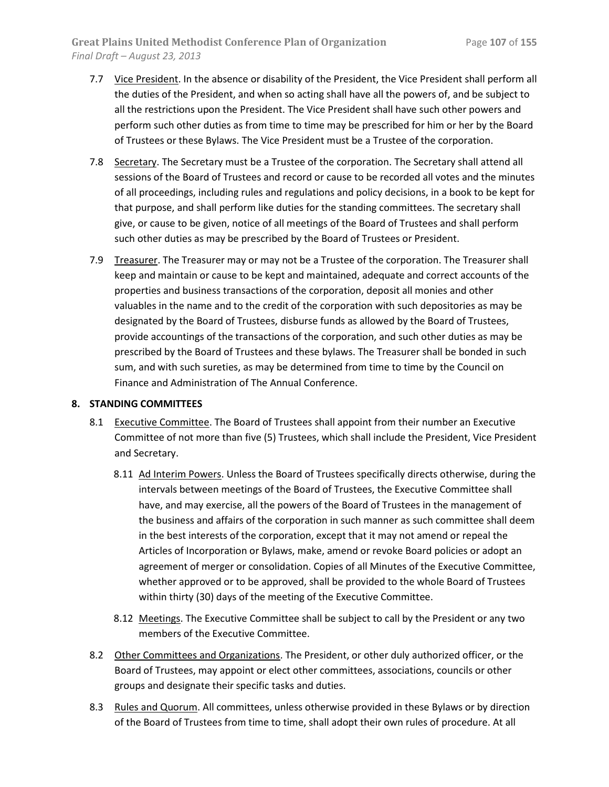- 7.7 Vice President. In the absence or disability of the President, the Vice President shall perform all the duties of the President, and when so acting shall have all the powers of, and be subject to all the restrictions upon the President. The Vice President shall have such other powers and perform such other duties as from time to time may be prescribed for him or her by the Board of Trustees or these Bylaws. The Vice President must be a Trustee of the corporation.
- 7.8 Secretary. The Secretary must be a Trustee of the corporation. The Secretary shall attend all sessions of the Board of Trustees and record or cause to be recorded all votes and the minutes of all proceedings, including rules and regulations and policy decisions, in a book to be kept for that purpose, and shall perform like duties for the standing committees. The secretary shall give, or cause to be given, notice of all meetings of the Board of Trustees and shall perform such other duties as may be prescribed by the Board of Trustees or President.
- 7.9 Treasurer. The Treasurer may or may not be a Trustee of the corporation. The Treasurer shall keep and maintain or cause to be kept and maintained, adequate and correct accounts of the properties and business transactions of the corporation, deposit all monies and other valuables in the name and to the credit of the corporation with such depositories as may be designated by the Board of Trustees, disburse funds as allowed by the Board of Trustees, provide accountings of the transactions of the corporation, and such other duties as may be prescribed by the Board of Trustees and these bylaws. The Treasurer shall be bonded in such sum, and with such sureties, as may be determined from time to time by the Council on Finance and Administration of The Annual Conference.

## **8. STANDING COMMITTEES**

- 8.1 Executive Committee. The Board of Trustees shall appoint from their number an Executive Committee of not more than five (5) Trustees, which shall include the President, Vice President and Secretary.
	- 8.11 Ad Interim Powers. Unless the Board of Trustees specifically directs otherwise, during the intervals between meetings of the Board of Trustees, the Executive Committee shall have, and may exercise, all the powers of the Board of Trustees in the management of the business and affairs of the corporation in such manner as such committee shall deem in the best interests of the corporation, except that it may not amend or repeal the Articles of Incorporation or Bylaws, make, amend or revoke Board policies or adopt an agreement of merger or consolidation. Copies of all Minutes of the Executive Committee, whether approved or to be approved, shall be provided to the whole Board of Trustees within thirty (30) days of the meeting of the Executive Committee.
	- 8.12 Meetings. The Executive Committee shall be subject to call by the President or any two members of the Executive Committee.
- 8.2 Other Committees and Organizations. The President, or other duly authorized officer, or the Board of Trustees, may appoint or elect other committees, associations, councils or other groups and designate their specific tasks and duties.
- 8.3 Rules and Quorum. All committees, unless otherwise provided in these Bylaws or by direction of the Board of Trustees from time to time, shall adopt their own rules of procedure. At all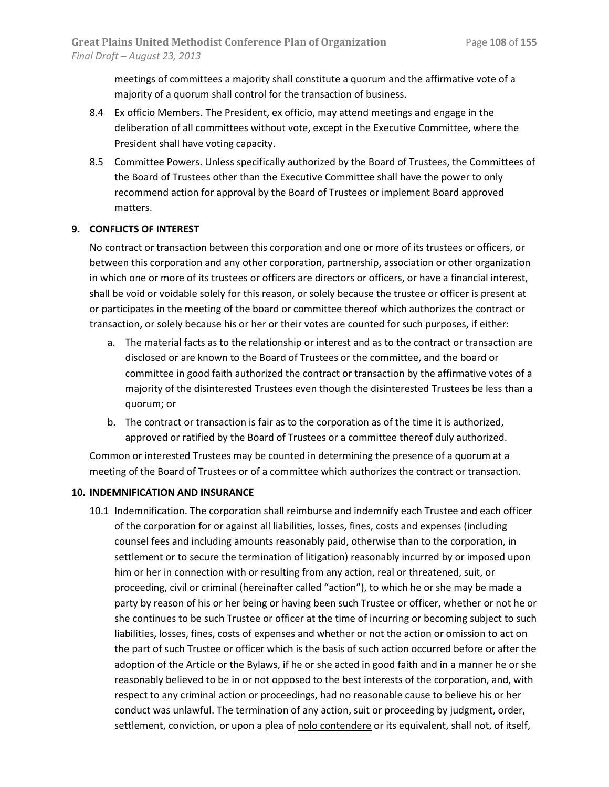meetings of committees a majority shall constitute a quorum and the affirmative vote of a majority of a quorum shall control for the transaction of business.

- 8.4 Ex officio Members. The President, ex officio, may attend meetings and engage in the deliberation of all committees without vote, except in the Executive Committee, where the President shall have voting capacity.
- 8.5 Committee Powers. Unless specifically authorized by the Board of Trustees, the Committees of the Board of Trustees other than the Executive Committee shall have the power to only recommend action for approval by the Board of Trustees or implement Board approved matters.

## **9. CONFLICTS OF INTEREST**

No contract or transaction between this corporation and one or more of its trustees or officers, or between this corporation and any other corporation, partnership, association or other organization in which one or more of its trustees or officers are directors or officers, or have a financial interest, shall be void or voidable solely for this reason, or solely because the trustee or officer is present at or participates in the meeting of the board or committee thereof which authorizes the contract or transaction, or solely because his or her or their votes are counted for such purposes, if either:

- a. The material facts as to the relationship or interest and as to the contract or transaction are disclosed or are known to the Board of Trustees or the committee, and the board or committee in good faith authorized the contract or transaction by the affirmative votes of a majority of the disinterested Trustees even though the disinterested Trustees be less than a quorum; or
- b. The contract or transaction is fair as to the corporation as of the time it is authorized, approved or ratified by the Board of Trustees or a committee thereof duly authorized.

Common or interested Trustees may be counted in determining the presence of a quorum at a meeting of the Board of Trustees or of a committee which authorizes the contract or transaction.

## **10. INDEMNIFICATION AND INSURANCE**

10.1 Indemnification. The corporation shall reimburse and indemnify each Trustee and each officer of the corporation for or against all liabilities, losses, fines, costs and expenses (including counsel fees and including amounts reasonably paid, otherwise than to the corporation, in settlement or to secure the termination of litigation) reasonably incurred by or imposed upon him or her in connection with or resulting from any action, real or threatened, suit, or proceeding, civil or criminal (hereinafter called "action"), to which he or she may be made a party by reason of his or her being or having been such Trustee or officer, whether or not he or she continues to be such Trustee or officer at the time of incurring or becoming subject to such liabilities, losses, fines, costs of expenses and whether or not the action or omission to act on the part of such Trustee or officer which is the basis of such action occurred before or after the adoption of the Article or the Bylaws, if he or she acted in good faith and in a manner he or she reasonably believed to be in or not opposed to the best interests of the corporation, and, with respect to any criminal action or proceedings, had no reasonable cause to believe his or her conduct was unlawful. The termination of any action, suit or proceeding by judgment, order, settlement, conviction, or upon a plea of nolo contendere or its equivalent, shall not, of itself,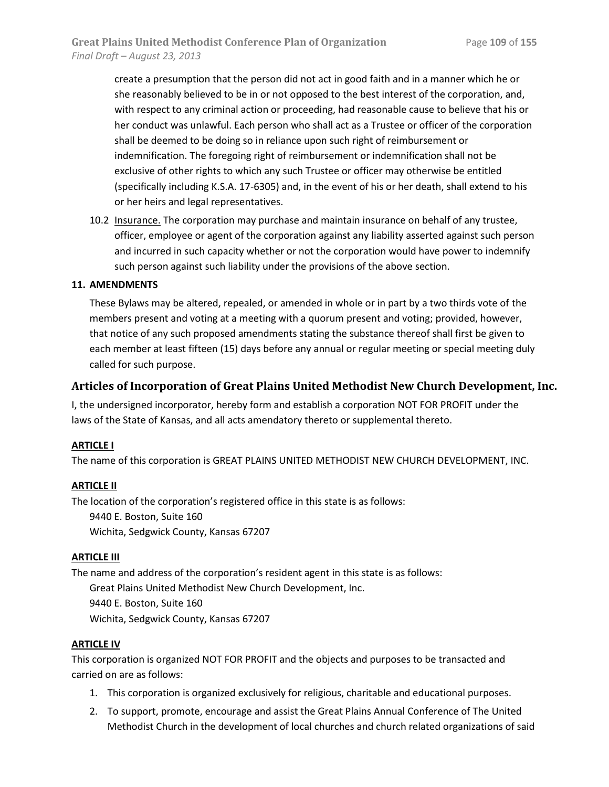create a presumption that the person did not act in good faith and in a manner which he or she reasonably believed to be in or not opposed to the best interest of the corporation, and, with respect to any criminal action or proceeding, had reasonable cause to believe that his or her conduct was unlawful. Each person who shall act as a Trustee or officer of the corporation shall be deemed to be doing so in reliance upon such right of reimbursement or indemnification. The foregoing right of reimbursement or indemnification shall not be exclusive of other rights to which any such Trustee or officer may otherwise be entitled (specifically including K.S.A. 17-6305) and, in the event of his or her death, shall extend to his or her heirs and legal representatives.

10.2 Insurance. The corporation may purchase and maintain insurance on behalf of any trustee, officer, employee or agent of the corporation against any liability asserted against such person and incurred in such capacity whether or not the corporation would have power to indemnify such person against such liability under the provisions of the above section.

## **11. AMENDMENTS**

These Bylaws may be altered, repealed, or amended in whole or in part by a two thirds vote of the members present and voting at a meeting with a quorum present and voting; provided, however, that notice of any such proposed amendments stating the substance thereof shall first be given to each member at least fifteen (15) days before any annual or regular meeting or special meeting duly called for such purpose.

## **Articles of Incorporation of Great Plains United Methodist New Church Development, Inc.**

I, the undersigned incorporator, hereby form and establish a corporation NOT FOR PROFIT under the laws of the State of Kansas, and all acts amendatory thereto or supplemental thereto.

## **ARTICLE I**

The name of this corporation is GREAT PLAINS UNITED METHODIST NEW CHURCH DEVELOPMENT, INC.

## **ARTICLE II**

The location of the corporation's registered office in this state is as follows:

9440 E. Boston, Suite 160 Wichita, Sedgwick County, Kansas 67207

## **ARTICLE III**

The name and address of the corporation's resident agent in this state is as follows: Great Plains United Methodist New Church Development, Inc. 9440 E. Boston, Suite 160 Wichita, Sedgwick County, Kansas 67207

## **ARTICLE IV**

This corporation is organized NOT FOR PROFIT and the objects and purposes to be transacted and carried on are as follows:

- 1. This corporation is organized exclusively for religious, charitable and educational purposes.
- 2. To support, promote, encourage and assist the Great Plains Annual Conference of The United Methodist Church in the development of local churches and church related organizations of said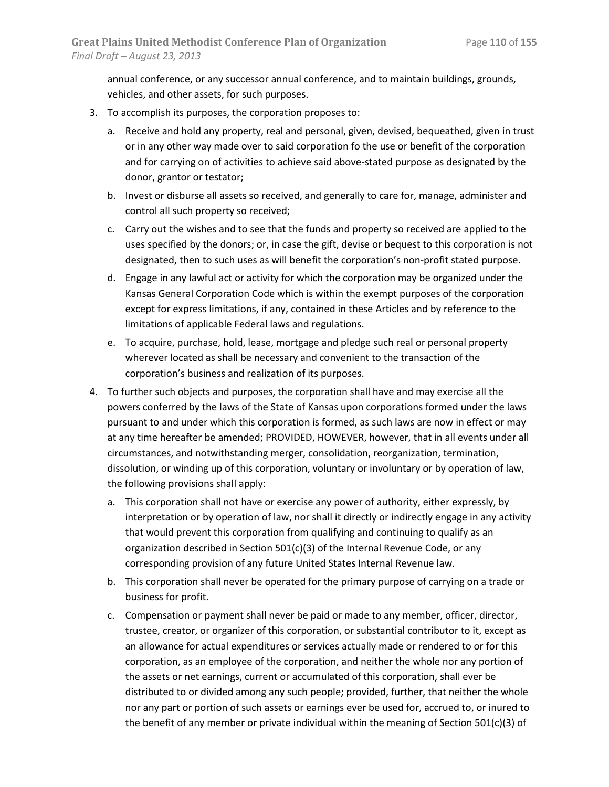annual conference, or any successor annual conference, and to maintain buildings, grounds, vehicles, and other assets, for such purposes.

- 3. To accomplish its purposes, the corporation proposes to:
	- a. Receive and hold any property, real and personal, given, devised, bequeathed, given in trust or in any other way made over to said corporation fo the use or benefit of the corporation and for carrying on of activities to achieve said above-stated purpose as designated by the donor, grantor or testator;
	- b. Invest or disburse all assets so received, and generally to care for, manage, administer and control all such property so received;
	- c. Carry out the wishes and to see that the funds and property so received are applied to the uses specified by the donors; or, in case the gift, devise or bequest to this corporation is not designated, then to such uses as will benefit the corporation's non-profit stated purpose.
	- d. Engage in any lawful act or activity for which the corporation may be organized under the Kansas General Corporation Code which is within the exempt purposes of the corporation except for express limitations, if any, contained in these Articles and by reference to the limitations of applicable Federal laws and regulations.
	- e. To acquire, purchase, hold, lease, mortgage and pledge such real or personal property wherever located as shall be necessary and convenient to the transaction of the corporation's business and realization of its purposes.
- 4. To further such objects and purposes, the corporation shall have and may exercise all the powers conferred by the laws of the State of Kansas upon corporations formed under the laws pursuant to and under which this corporation is formed, as such laws are now in effect or may at any time hereafter be amended; PROVIDED, HOWEVER, however, that in all events under all circumstances, and notwithstanding merger, consolidation, reorganization, termination, dissolution, or winding up of this corporation, voluntary or involuntary or by operation of law, the following provisions shall apply:
	- a. This corporation shall not have or exercise any power of authority, either expressly, by interpretation or by operation of law, nor shall it directly or indirectly engage in any activity that would prevent this corporation from qualifying and continuing to qualify as an organization described in Section 501(c)(3) of the Internal Revenue Code, or any corresponding provision of any future United States Internal Revenue law.
	- b. This corporation shall never be operated for the primary purpose of carrying on a trade or business for profit.
	- c. Compensation or payment shall never be paid or made to any member, officer, director, trustee, creator, or organizer of this corporation, or substantial contributor to it, except as an allowance for actual expenditures or services actually made or rendered to or for this corporation, as an employee of the corporation, and neither the whole nor any portion of the assets or net earnings, current or accumulated of this corporation, shall ever be distributed to or divided among any such people; provided, further, that neither the whole nor any part or portion of such assets or earnings ever be used for, accrued to, or inured to the benefit of any member or private individual within the meaning of Section  $501(c)(3)$  of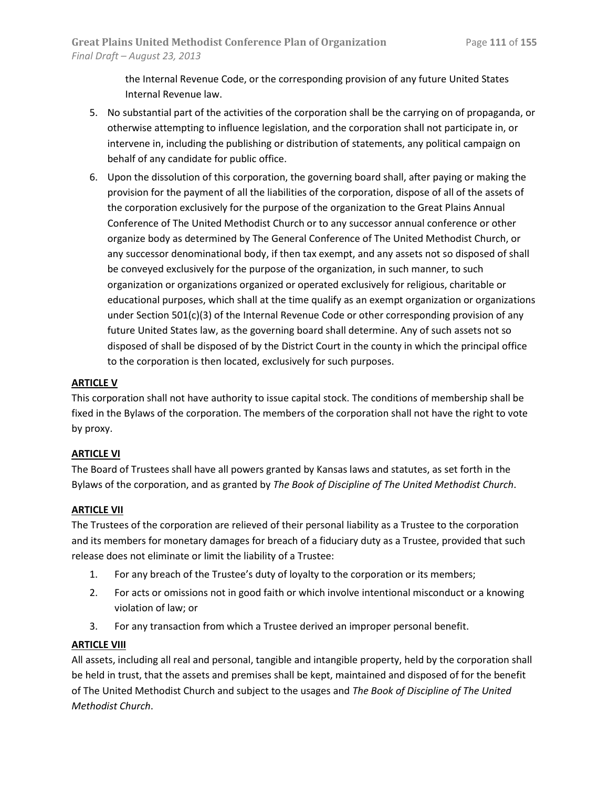the Internal Revenue Code, or the corresponding provision of any future United States Internal Revenue law.

- 5. No substantial part of the activities of the corporation shall be the carrying on of propaganda, or otherwise attempting to influence legislation, and the corporation shall not participate in, or intervene in, including the publishing or distribution of statements, any political campaign on behalf of any candidate for public office.
- 6. Upon the dissolution of this corporation, the governing board shall, after paying or making the provision for the payment of all the liabilities of the corporation, dispose of all of the assets of the corporation exclusively for the purpose of the organization to the Great Plains Annual Conference of The United Methodist Church or to any successor annual conference or other organize body as determined by The General Conference of The United Methodist Church, or any successor denominational body, if then tax exempt, and any assets not so disposed of shall be conveyed exclusively for the purpose of the organization, in such manner, to such organization or organizations organized or operated exclusively for religious, charitable or educational purposes, which shall at the time qualify as an exempt organization or organizations under Section 501(c)(3) of the Internal Revenue Code or other corresponding provision of any future United States law, as the governing board shall determine. Any of such assets not so disposed of shall be disposed of by the District Court in the county in which the principal office to the corporation is then located, exclusively for such purposes.

## **ARTICLE V**

This corporation shall not have authority to issue capital stock. The conditions of membership shall be fixed in the Bylaws of the corporation. The members of the corporation shall not have the right to vote by proxy.

## **ARTICLE VI**

The Board of Trustees shall have all powers granted by Kansas laws and statutes, as set forth in the Bylaws of the corporation, and as granted by *The Book of Discipline of The United Methodist Church*.

## **ARTICLE VII**

The Trustees of the corporation are relieved of their personal liability as a Trustee to the corporation and its members for monetary damages for breach of a fiduciary duty as a Trustee, provided that such release does not eliminate or limit the liability of a Trustee:

- 1. For any breach of the Trustee's duty of loyalty to the corporation or its members;
- 2. For acts or omissions not in good faith or which involve intentional misconduct or a knowing violation of law; or
- 3. For any transaction from which a Trustee derived an improper personal benefit.

## **ARTICLE VIII**

All assets, including all real and personal, tangible and intangible property, held by the corporation shall be held in trust, that the assets and premises shall be kept, maintained and disposed of for the benefit of The United Methodist Church and subject to the usages and *The Book of Discipline of The United Methodist Church*.